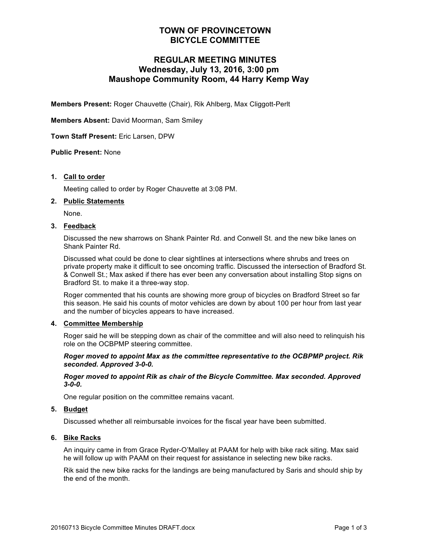# **TOWN OF PROVINCETOWN BICYCLE COMMITTEE**

# **REGULAR MEETING MINUTES Wednesday, July 13, 2016, 3:00 pm Maushope Community Room, 44 Harry Kemp Way**

**Members Present:** Roger Chauvette (Chair), Rik Ahlberg, Max Cliggott-Perlt

**Members Absent:** David Moorman, Sam Smiley

**Town Staff Present:** Eric Larsen, DPW

## **Public Present:** None

#### **1. Call to order**

Meeting called to order by Roger Chauvette at 3:08 PM.

#### **2. Public Statements**

None.

### **3. Feedback**

Discussed the new sharrows on Shank Painter Rd. and Conwell St. and the new bike lanes on Shank Painter Rd.

Discussed what could be done to clear sightlines at intersections where shrubs and trees on private property make it difficult to see oncoming traffic. Discussed the intersection of Bradford St. & Conwell St.; Max asked if there has ever been any conversation about installing Stop signs on Bradford St. to make it a three-way stop.

Roger commented that his counts are showing more group of bicycles on Bradford Street so far this season. He said his counts of motor vehicles are down by about 100 per hour from last year and the number of bicycles appears to have increased.

#### **4. Committee Membership**

Roger said he will be stepping down as chair of the committee and will also need to relinquish his role on the OCBPMP steering committee.

#### *Roger moved to appoint Max as the committee representative to the OCBPMP project. Rik seconded. Approved 3-0-0.*

#### *Roger moved to appoint Rik as chair of the Bicycle Committee. Max seconded. Approved 3-0-0.*

One regular position on the committee remains vacant.

## **5. Budget**

Discussed whether all reimbursable invoices for the fiscal year have been submitted.

#### **6. Bike Racks**

An inquiry came in from Grace Ryder-O'Malley at PAAM for help with bike rack siting. Max said he will follow up with PAAM on their request for assistance in selecting new bike racks.

Rik said the new bike racks for the landings are being manufactured by Saris and should ship by the end of the month.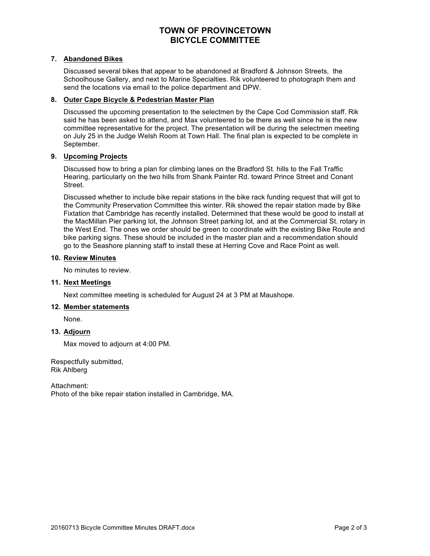# **TOWN OF PROVINCETOWN BICYCLE COMMITTEE**

## **7. Abandoned Bikes**

Discussed several bikes that appear to be abandoned at Bradford & Johnson Streets, the Schoolhouse Gallery, and next to Marine Specialties. Rik volunteered to photograph them and send the locations via email to the police department and DPW.

## **8. Outer Cape Bicycle & Pedestrian Master Plan**

Discussed the upcoming presentation to the selectmen by the Cape Cod Commission staff. Rik said he has been asked to attend, and Max volunteered to be there as well since he is the new committee representative for the project. The presentation will be during the selectmen meeting on July 25 in the Judge Welsh Room at Town Hall. The final plan is expected to be complete in September.

# **9. Upcoming Projects**

Discussed how to bring a plan for climbing lanes on the Bradford St. hills to the Fall Traffic Hearing, particularly on the two hills from Shank Painter Rd. toward Prince Street and Conant Street.

Discussed whether to include bike repair stations in the bike rack funding request that will got to the Community Preservation Committee this winter. Rik showed the repair station made by Bike Fixtation that Cambridge has recently installed. Determined that these would be good to install at the MacMillan Pier parking lot, the Johnson Street parking lot, and at the Commercial St. rotary in the West End. The ones we order should be green to coordinate with the existing Bike Route and bike parking signs. These should be included in the master plan and a recommendation should go to the Seashore planning staff to install these at Herring Cove and Race Point as well.

# **10. Review Minutes**

No minutes to review.

# **11. Next Meetings**

Next committee meeting is scheduled for August 24 at 3 PM at Maushope.

## **12. Member statements**

None.

## **13. Adjourn**

Max moved to adjourn at 4:00 PM.

Respectfully submitted, Rik Ahlberg

Attachment: Photo of the bike repair station installed in Cambridge, MA.